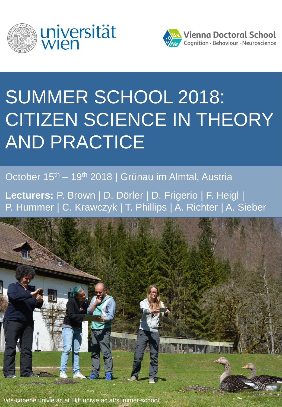



# SUMMER SCHOOL 2018: CITIZEN SCIENCE IN THEORY AND PRACTICE

October 15<sup>th</sup> – 19<sup>th</sup> 2018 | Grünau im Almtal, Austria

**Lecturers:** P. Brown | D. Dörler | D. Frigerio | F. Heigl | P. Hummer | C. Krawczyk | T. Phillips | A. Richter | A. Sieber



vds-cobene.univie.ac.at | klf.univie.ac.at/summer-school.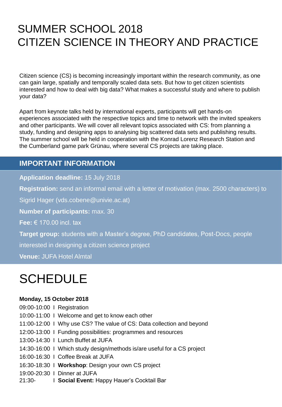### SUMMER SCHOOL 2018 CITIZEN SCIENCE IN THEORY AND PRACTICE

Citizen science (CS) is becoming increasingly important within the research community, as one can gain large, spatially and temporally scaled data sets. But how to get citizen scientists interested and how to deal with big data? What makes a successful study and where to publish your data?

Apart from keynote talks held by international experts, participants will get hands-on experiences associated with the respective topics and time to network with the invited speakers and other participants. We will cover all relevant topics associated with CS: from planning a study, funding and designing apps to analysing big scattered data sets and publishing results. The summer school will be held in cooperation with the Konrad Lorenz Research Station and the Cumberland game park Grünau, where several CS projects are taking place.

#### **IMPORTANT INFORMATION**

**Application deadline:** 15 July 2018

**Registration:** send an informal email with a letter of motivation (max. 2500 characters) to

Sigrid Hager (vds.cobene@univie.ac.at)

**Number of participants:** max. 30

**Fee:** € 170.00 incl. tax

**Target group:** students with a Master's degree, PhD candidates, Post-Docs, people

interested in designing a citizen science project

**Venue:** JUFA Hotel Almtal

## **SCHEDULE**

#### **Monday, 15 October 2018**

09:00-10:00 I Registration

- 10:00-11:00 I Welcome and get to know each other
- 11:00-12:00 I Why use CS? The value of CS: Data collection and beyond
- 12:00-13:00 I Funding possibilities: programmes and resources
- 13:00-14:30 I Lunch Buffet at JUFA
- 14:30-16:00 I Which study design/methods is/are useful for a CS project
- 16:00-16:30 I Coffee Break at JUFA
- 16:30-18:30 I **Workshop**: Design your own CS project
- 19:00-20:30 I Dinner at JUFA
- 21:30- I **Social Event:** Happy Hauer's Cocktail Bar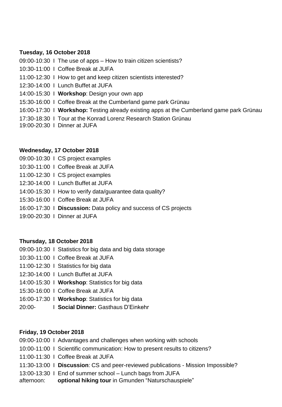#### **Tuesday, 16 October 2018**

09:00-10:30 I The use of apps – How to train citizen scientists?

- 10:30-11:00 I Coffee Break at JUFA
- 11:00-12:30 I How to get and keep citizen scientists interested?
- 12:30-14:00 I Lunch Buffet at JUFA
- 14:00-15:30 I **Workshop**: Design your own app
- 15:30-16:00 I Coffee Break at the Cumberland game park Grünau
- 16:00-17:30 I **Workshop:** Testing already existing apps at the Cumberland game park Grünau
- 17:30-18:30 I Tour at the Konrad Lorenz Research Station Grünau
- 19:00-20:30 I Dinner at JUFA

#### **Wednesday, 17 October 2018**

- 09:00-10:30 I CS project examples
- 10:30-11:00 I Coffee Break at JUFA
- 11:00-12:30 I CS project examples
- 12:30-14:00 I Lunch Buffet at JUFA
- 14:00-15:30 I How to verify data/guarantee data quality?
- 15:30-16:00 I Coffee Break at JUFA
- 16:00-17:30 I **Discussion:** Data policy and success of CS projects
- 19:00-20:30 I Dinner at JUFA

#### **Thursday, 18 October 2018**

- 09:00-10:30 I Statistics for big data and big data storage
- 10:30-11:00 I Coffee Break at JUFA
- 11:00-12:30 I Statistics for big data
- 12:30-14:00 I Lunch Buffet at JUFA
- 14:00-15:30 I **Workshop**: Statistics for big data
- 15:30-16:00 I Coffee Break at JUFA
- 16:00-17:30 I **Workshop**: Statistics for big data
- 20:00- I **Social Dinner:** Gasthaus D'Einkehr

#### **Friday, 19 October 2018**

- 09:00-10:00 I Advantages and challenges when working with schools
- 10:00-11:00 I Scientific communication: How to present results to citizens?
- 11:00-11:30 I Coffee Break at JUFA
- 11:30-13:00 I **Discussion**: CS and peer-reviewed publications Mission Impossible?
- 13:00-13:30 I End of summer school Lunch bags from JUFA
- afternoon: **optional hiking tour** in Gmunden "Naturschauspiele"